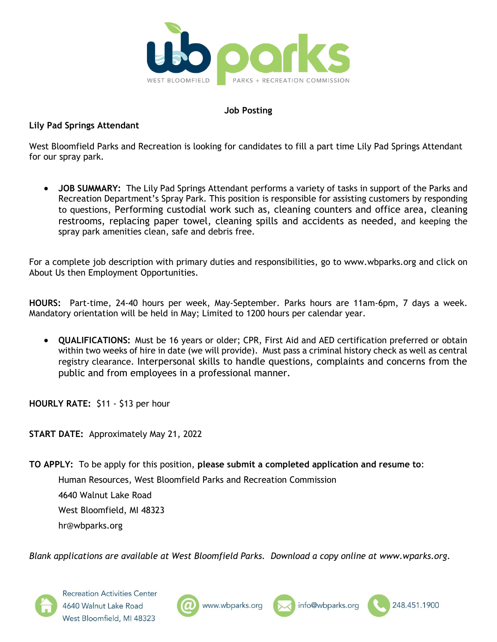

#### **Job Posting**

#### **Lily Pad Springs Attendant**

West Bloomfield Parks and Recreation is looking for candidates to fill a part time Lily Pad Springs Attendant for our spray park.

 **JOB SUMMARY:** The Lily Pad Springs Attendant performs a variety of tasks in support of the Parks and Recreation Department's Spray Park. This position is responsible for assisting customers by responding to questions, Performing custodial work such as, cleaning counters and office area, cleaning restrooms, replacing paper towel, cleaning spills and accidents as needed, and keeping the spray park amenities clean, safe and debris free.

For a complete job description with primary duties and responsibilities, go to www.wbparks.org and click on About Us then Employment Opportunities.

**HOURS:** Part-time, 24-40 hours per week, May-September. Parks hours are 11am-6pm, 7 days a week. Mandatory orientation will be held in May; Limited to 1200 hours per calendar year.

 **QUALIFICATIONS:** Must be 16 years or older; CPR, First Aid and AED certification preferred or obtain within two weeks of hire in date (we will provide). Must pass a criminal history check as well as central registry clearance. Interpersonal skills to handle questions, complaints and concerns from the public and from employees in a professional manner.

**HOURLY RATE:** \$11 - \$13 per hour

**START DATE:** Approximately May 21, 2022

**TO APPLY:** To be apply for this position, **please submit a completed application and resume to**: Human Resources, West Bloomfield Parks and Recreation Commission 4640 Walnut Lake Road West Bloomfield, MI 48323 hr@wbparks.org

*Blank applications are available at West Bloomfield Parks. Download a copy online at www.wparks.org.*

**Recreation Activities Center** 4640 Walnut Lake Road West Bloomfield, MI 48323





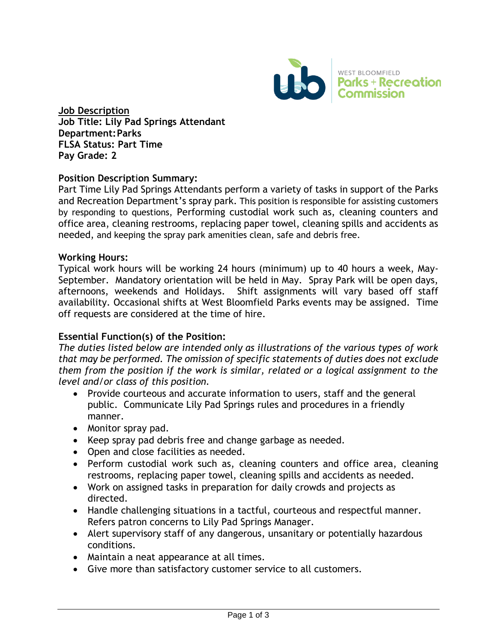

**Job Description Job Title: Lily Pad Springs Attendant Department:Parks FLSA Status: Part Time Pay Grade: 2**

### **Position Descript**i**on Summary:**

Part Time Lily Pad Springs Attendants perform a variety of tasks in support of the Parks and Recreation Department's spray park. This position is responsible for assisting customers by responding to questions, Performing custodial work such as, cleaning counters and office area, cleaning restrooms, replacing paper towel, cleaning spills and accidents as needed, and keeping the spray park amenities clean, safe and debris free.

### **Working Hours:**

Typical work hours will be working 24 hours (minimum) up to 40 hours a week, May-September. Mandatory orientation will be held in May. Spray Park will be open days, afternoons, weekends and Holidays. Shift assignments will vary based off staff availability. Occasional shifts at West Bloomfield Parks events may be assigned. Time off requests are considered at the time of hire.

### **Essential Function(s) of the Position:**

*The duties listed below are intended only as illustrations of the various types of work that may be performed. The omission of specific statements of duties does not exclude them from the position if the work is similar, related or a logical assignment to the level and/or class of this position.*

- Provide courteous and accurate information to users, staff and the general public. Communicate Lily Pad Springs rules and procedures in a friendly manner.
- Monitor spray pad.
- Keep spray pad debris free and change garbage as needed.
- Open and close facilities as needed.
- Perform custodial work such as, cleaning counters and office area, cleaning restrooms, replacing paper towel, cleaning spills and accidents as needed.
- Work on assigned tasks in preparation for daily crowds and projects as directed.
- Handle challenging situations in a tactful, courteous and respectful manner. Refers patron concerns to Lily Pad Springs Manager.
- Alert supervisory staff of any dangerous, unsanitary or potentially hazardous conditions.
- Maintain a neat appearance at all times.
- Give more than satisfactory customer service to all customers.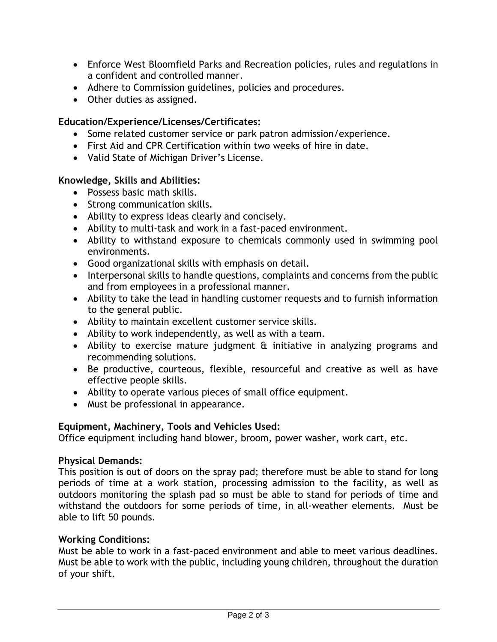- Enforce West Bloomfield Parks and Recreation policies, rules and regulations in a confident and controlled manner.
- Adhere to Commission guidelines, policies and procedures.
- Other duties as assigned.

# **Education/Experience/Licenses/Certificates:**

- Some related customer service or park patron admission/experience.
- First Aid and CPR Certification within two weeks of hire in date.
- Valid State of Michigan Driver's License.

### **Knowledge, Skills and Abilities:**

- Possess basic math skills.
- Strong communication skills.
- Ability to express ideas clearly and concisely.
- Ability to multi-task and work in a fast-paced environment.
- Ability to withstand exposure to chemicals commonly used in swimming pool environments.
- Good organizational skills with emphasis on detail.
- Interpersonal skills to handle questions, complaints and concerns from the public and from employees in a professional manner.
- Ability to take the lead in handling customer requests and to furnish information to the general public.
- Ability to maintain excellent customer service skills.
- Ability to work independently, as well as with a team.
- Ability to exercise mature judgment & initiative in analyzing programs and recommending solutions.
- Be productive, courteous, flexible, resourceful and creative as well as have effective people skills.
- Ability to operate various pieces of small office equipment.
- Must be professional in appearance.

### **Equipment, Machinery, Tools and Vehicles Used:**

Office equipment including hand blower, broom, power washer, work cart, etc.

### **Physical Demands:**

This position is out of doors on the spray pad; therefore must be able to stand for long periods of time at a work station, processing admission to the facility, as well as outdoors monitoring the splash pad so must be able to stand for periods of time and withstand the outdoors for some periods of time, in all-weather elements. Must be able to lift 50 pounds.

### **Working Conditions:**

Must be able to work in a fast-paced environment and able to meet various deadlines. Must be able to work with the public, including young children, throughout the duration of your shift.